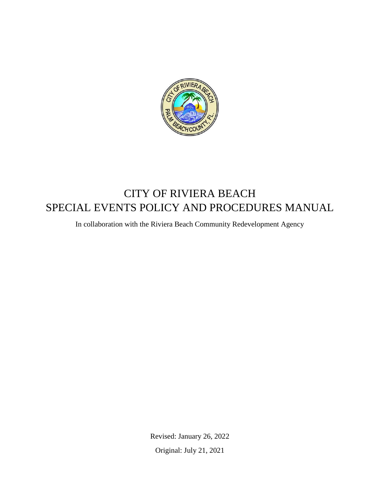

# CITY OF RIVIERA BEACH SPECIAL EVENTS POLICY AND PROCEDURES MANUAL

In collaboration with the Riviera Beach Community Redevelopment Agency

Revised: January 26, 2022 Original: July 21, 2021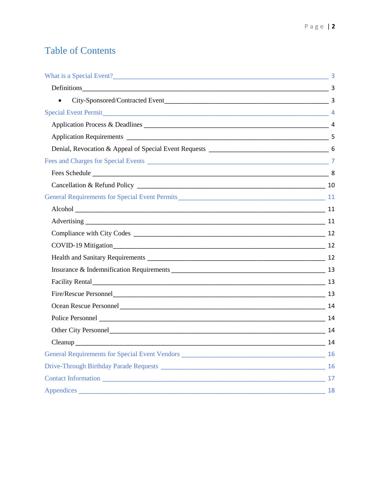# **Table of Contents**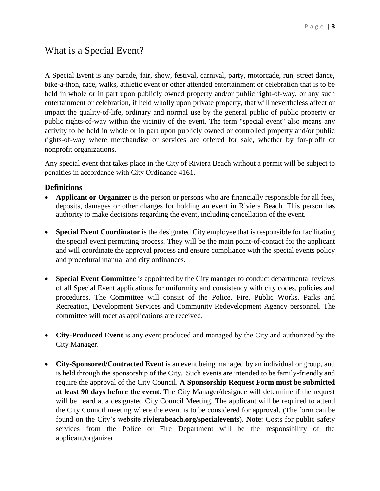## <span id="page-2-0"></span>What is a Special Event?

A Special Event is any parade, fair, show, festival, carnival, party, motorcade, run, street dance, bike-a-thon, race, walks, athletic event or other attended entertainment or celebration that is to be held in whole or in part upon publicly owned property and/or public right-of-way, or any such entertainment or celebration, if held wholly upon private property, that will nevertheless affect or impact the quality-of-life, ordinary and normal use by the general public of public property or public rights-of-way within the vicinity of the event. The term "special event" also means any activity to be held in whole or in part upon publicly owned or controlled property and/or public rights-of-way where merchandise or services are offered for sale, whether by for-profit or nonprofit organizations.

Any special event that takes place in the City of Riviera Beach without a permit will be subject to penalties in accordance with City Ordinance 4161.

#### <span id="page-2-1"></span>**Definitions**

- **Applicant or Organizer** is the person or persons who are financially responsible for all fees, deposits, damages or other charges for holding an event in Riviera Beach. This person has authority to make decisions regarding the event, including cancellation of the event.
- **Special Event Coordinator** is the designated City employee that is responsible for facilitating the special event permitting process. They will be the main point-of-contact for the applicant and will coordinate the approval process and ensure compliance with the special events policy and procedural manual and city ordinances.
- **Special Event Committee** is appointed by the City manager to conduct departmental reviews of all Special Event applications for uniformity and consistency with city codes, policies and procedures. The Committee will consist of the Police, Fire, Public Works, Parks and Recreation, Development Services and Community Redevelopment Agency personnel. The committee will meet as applications are received.
- **City-Produced Event** is any event produced and managed by the City and authorized by the City Manager.
- <span id="page-2-2"></span> **City-Sponsored/Contracted Event** is an event being managed by an individual or group, and is held through the sponsorship of the City. Such events are intended to be family-friendly and require the approval of the City Council. **A Sponsorship Request Form must be submitted at least 90 days before the event**. The City Manager/designee will determine if the request will be heard at a designated City Council Meeting. The applicant will be required to attend the City Council meeting where the event is to be considered for approval. (The form can be found on the City's website **rivierabeach.org/specialevents**). **Note**: Costs for public safety services from the Police or Fire Department will be the responsibility of the applicant/organizer.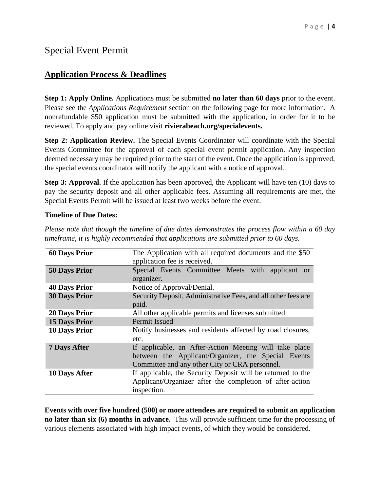## <span id="page-3-0"></span>Special Event Permit

## <span id="page-3-1"></span>**Application Process & Deadlines**

**Step 1: Apply Online.** Applications must be submitted **no later than 60 days** prior to the event. Please see the *Applications Requirement* section on the following page for more information. A nonrefundable \$50 application must be submitted with the application, in order for it to be reviewed. To apply and pay online visit **rivierabeach.org/specialevents.**

**Step 2: Application Review.** The Special Events Coordinator will coordinate with the Special Events Committee for the approval of each special event permit application. Any inspection deemed necessary may be required prior to the start of the event. Once the application is approved, the special events coordinator will notify the applicant with a notice of approval.

**Step 3: Approval.** If the application has been approved, the Applicant will have ten (10) days to pay the security deposit and all other applicable fees. Assuming all requirements are met, the Special Events Permit will be issued at least two weeks before the event.

#### **Timeline of Due Dates:**

*Please note that though the timeline of due dates demonstrates the process flow within a 60 day timeframe, it is highly recommended that applications are submitted prior to 60 days.*

| <b>60 Days Prior</b> | The Application with all required documents and the \$50<br>application fee is received.                                                                        |
|----------------------|-----------------------------------------------------------------------------------------------------------------------------------------------------------------|
| <b>50 Days Prior</b> | Special Events Committee Meets with applicant or<br>organizer.                                                                                                  |
| <b>40 Days Prior</b> | Notice of Approval/Denial.                                                                                                                                      |
| <b>30 Days Prior</b> | Security Deposit, Administrative Fees, and all other fees are<br>paid.                                                                                          |
| <b>20 Days Prior</b> | All other applicable permits and licenses submitted                                                                                                             |
| <b>15 Days Prior</b> | <b>Permit Issued</b>                                                                                                                                            |
| <b>10 Days Prior</b> | Notify businesses and residents affected by road closures,<br>etc.                                                                                              |
| <b>7 Days After</b>  | If applicable, an After-Action Meeting will take place<br>between the Applicant/Organizer, the Special Events<br>Committee and any other City or CRA personnel. |
| 10 Days After        | If applicable, the Security Deposit will be returned to the<br>Applicant/Organizer after the completion of after-action<br>inspection.                          |

**Events with over five hundred (500) or more attendees are required to submit an application no later than six (6) months in advance.** This will provide sufficient time for the processing of various elements associated with high impact events, of which they would be considered.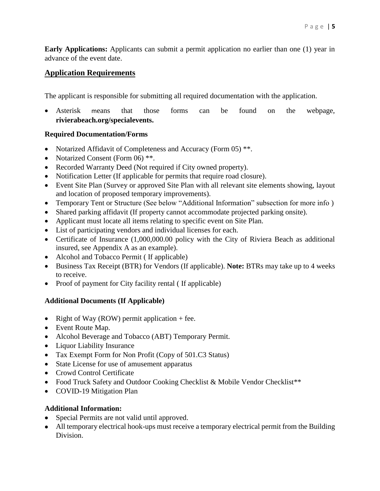**Early Applications:** Applicants can submit a permit application no earlier than one (1) year in advance of the event date.

#### <span id="page-4-0"></span>**Application Requirements**

The applicant is responsible for submitting all required documentation with the application.

 Asterisk means that those forms can be found on the webpage, **rivierabeach.org/specialevents.**

#### **Required Documentation/Forms**

- Notarized Affidavit of Completeness and Accuracy (Form 05) \*\*.
- Notarized Consent (Form 06) \*\*.
- Recorded Warranty Deed (Not required if City owned property).
- Notification Letter (If applicable for permits that require road closure).
- Event Site Plan (Survey or approved Site Plan with all relevant site elements showing, layout and location of proposed temporary improvements).
- Temporary Tent or Structure (See below "Additional Information" subsection for more info )
- Shared parking affidavit (If property cannot accommodate projected parking onsite).
- Applicant must locate all items relating to specific event on Site Plan.
- List of participating vendors and individual licenses for each.
- Certificate of Insurance (1,000,000.00 policy with the City of Riviera Beach as additional insured, see Appendix A as an example).
- Alcohol and Tobacco Permit (If applicable)
- Business Tax Receipt (BTR) for Vendors (If applicable). **Note:** BTRs may take up to 4 weeks to receive.
- Proof of payment for City facility rental (If applicable)

#### **Additional Documents (If Applicable)**

- Right of Way (ROW) permit application  $+$  fee.
- Event Route Map.
- Alcohol Beverage and Tobacco (ABT) Temporary Permit.
- Liquor Liability Insurance
- Tax Exempt Form for Non Profit (Copy of 501.C3 Status)
- State License for use of amusement apparatus
- Crowd Control Certificate
- Food Truck Safety and Outdoor Cooking Checklist & Mobile Vendor Checklist<sup>\*\*</sup>
- COVID-19 Mitigation Plan

#### **Additional Information:**

- Special Permits are not valid until approved.
- All temporary electrical hook-ups must receive a temporary electrical permit from the Building Division.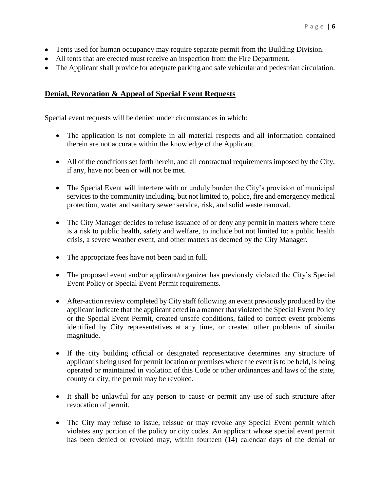- Tents used for human occupancy may require separate permit from the Building Division.
- All tents that are erected must receive an inspection from the Fire Department.
- The Applicant shall provide for adequate parking and safe vehicular and pedestrian circulation.

#### <span id="page-5-0"></span>**Denial, Revocation & Appeal of Special Event Requests**

Special event requests will be denied under circumstances in which:

- The application is not complete in all material respects and all information contained therein are not accurate within the knowledge of the Applicant.
- All of the conditions set forth herein, and all contractual requirements imposed by the City, if any, have not been or will not be met.
- The Special Event will interfere with or unduly burden the City's provision of municipal services to the community including, but not limited to, police, fire and emergency medical protection, water and sanitary sewer service, risk, and solid waste removal.
- The City Manager decides to refuse issuance of or deny any permit in matters where there is a risk to public health, safety and welfare, to include but not limited to: a public health crisis, a severe weather event, and other matters as deemed by the City Manager.
- The appropriate fees have not been paid in full.
- The proposed event and/or applicant/organizer has previously violated the City's Special Event Policy or Special Event Permit requirements.
- After-action review completed by City staff following an event previously produced by the applicant indicate that the applicant acted in a manner that violated the Special Event Policy or the Special Event Permit, created unsafe conditions, failed to correct event problems identified by City representatives at any time, or created other problems of similar magnitude.
- If the city building official or designated representative determines any structure of applicant's being used for permit location or premises where the event is to be held, is being operated or maintained in violation of this Code or other ordinances and laws of the state, county or city, the permit may be revoked.
- It shall be unlawful for any person to cause or permit any use of such structure after revocation of permit.
- The City may refuse to issue, reissue or may revoke any Special Event permit which violates any portion of the policy or city codes. An applicant whose special event permit has been denied or revoked may, within fourteen (14) calendar days of the denial or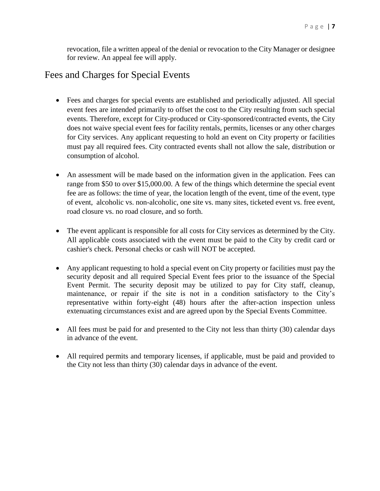revocation, file a written appeal of the denial or revocation to the City Manager or designee for review. An appeal fee will apply.

## <span id="page-6-0"></span>Fees and Charges for Special Events

- Fees and charges for special events are established and periodically adjusted. All special event fees are intended primarily to offset the cost to the City resulting from such special events. Therefore, except for City-produced or City-sponsored/contracted events, the City does not waive special event fees for facility rentals, permits, licenses or any other charges for City services. Any applicant requesting to hold an event on City property or facilities must pay all required fees. City contracted events shall not allow the sale, distribution or consumption of alcohol.
- An assessment will be made based on the information given in the application. Fees can range from \$50 to over \$15,000.00. A few of the things which determine the special event fee are as follows: the time of year, the location length of the event, time of the event, type of event, alcoholic vs. non-alcoholic, one site vs. many sites, ticketed event vs. free event, road closure vs. no road closure, and so forth.
- The event applicant is responsible for all costs for City services as determined by the City. All applicable costs associated with the event must be paid to the City by credit card or cashier's check. Personal checks or cash will NOT be accepted.
- Any applicant requesting to hold a special event on City property or facilities must pay the security deposit and all required Special Event fees prior to the issuance of the Special Event Permit. The security deposit may be utilized to pay for City staff, cleanup, maintenance, or repair if the site is not in a condition satisfactory to the City's representative within forty-eight (48) hours after the after-action inspection unless extenuating circumstances exist and are agreed upon by the Special Events Committee.
- All fees must be paid for and presented to the City not less than thirty (30) calendar days in advance of the event.
- All required permits and temporary licenses, if applicable, must be paid and provided to the City not less than thirty (30) calendar days in advance of the event.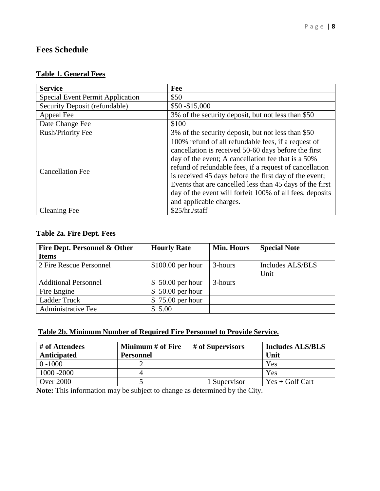## <span id="page-7-0"></span>**Fees Schedule**

#### **Table 1. General Fees**

| <b>Service</b>                          | Fee                                                                                                                                                                                                                                                                                                                                                                                                                                       |
|-----------------------------------------|-------------------------------------------------------------------------------------------------------------------------------------------------------------------------------------------------------------------------------------------------------------------------------------------------------------------------------------------------------------------------------------------------------------------------------------------|
| <b>Special Event Permit Application</b> | \$50                                                                                                                                                                                                                                                                                                                                                                                                                                      |
| Security Deposit (refundable)           | $$50 - $15,000$                                                                                                                                                                                                                                                                                                                                                                                                                           |
| Appeal Fee                              | 3% of the security deposit, but not less than \$50                                                                                                                                                                                                                                                                                                                                                                                        |
| Date Change Fee                         | \$100                                                                                                                                                                                                                                                                                                                                                                                                                                     |
| <b>Rush/Priority Fee</b>                | 3% of the security deposit, but not less than \$50                                                                                                                                                                                                                                                                                                                                                                                        |
| <b>Cancellation Fee</b>                 | 100% refund of all refundable fees, if a request of<br>cancellation is received 50-60 days before the first<br>day of the event; A cancellation fee that is a 50%<br>refund of refundable fees, if a request of cancellation<br>is received 45 days before the first day of the event;<br>Events that are cancelled less than 45 days of the first<br>day of the event will forfeit 100% of all fees, deposits<br>and applicable charges. |
| <b>Cleaning Fee</b>                     | \$25/hr./staff                                                                                                                                                                                                                                                                                                                                                                                                                            |

### **Table 2a. Fire Dept. Fees**

| Fire Dept. Personnel & Other | <b>Hourly Rate</b>     | <b>Min. Hours</b> | <b>Special Note</b> |
|------------------------------|------------------------|-------------------|---------------------|
| <b>Items</b>                 |                        |                   |                     |
| 2 Fire Rescue Personnel      | $$100.00$ per hour     | 3-hours           | Includes ALS/BLS    |
|                              |                        |                   | Unit                |
| <b>Additional Personnel</b>  | $$50.00$ per hour      | 3-hours           |                     |
| Fire Engine                  | $50.00$ per hour<br>\$ |                   |                     |
| <b>Ladder Truck</b>          | $75.00$ per hour<br>\$ |                   |                     |
| <b>Administrative Fee</b>    | \$5.00                 |                   |                     |

#### **Table 2b. Minimum Number of Required Fire Personnel to Provide Service.**

| # of Attendees<br>Anticipated | Minimum # of Fire<br><b>Personnel</b> | # of Supervisors | <b>Includes ALS/BLS</b><br>Unit |
|-------------------------------|---------------------------------------|------------------|---------------------------------|
| $0 - 1000$                    |                                       |                  | Yes                             |
| 1000 - 2000                   |                                       |                  | Yes                             |
| <b>Over 2000</b>              |                                       | 1 Supervisor     | $Yes + Golf$ Cart               |

**Note:** This information may be subject to change as determined by the City.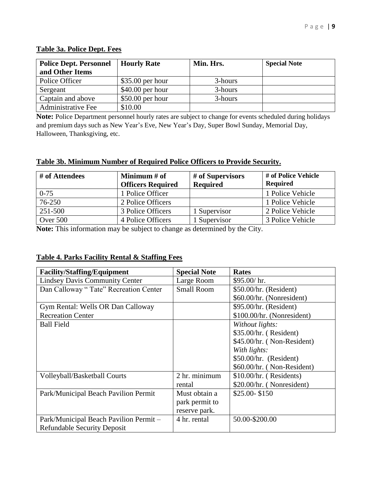| <b>Police Dept. Personnel</b> | <b>Hourly Rate</b> | Min. Hrs. | <b>Special Note</b> |
|-------------------------------|--------------------|-----------|---------------------|
| and Other Items               |                    |           |                     |
| Police Officer                | $$35.00$ per hour  | 3-hours   |                     |
| Sergeant                      | $$40.00$ per hour  | 3-hours   |                     |
| Captain and above             | $$50.00$ per hour  | 3-hours   |                     |
| <b>Administrative Fee</b>     | \$10.00            |           |                     |

### **Table 3a. Police Dept. Fees**

**Note:** Police Department personnel hourly rates are subject to change for events scheduled during holidays and premium days such as New Year's Eve, New Year's Day, Super Bowl Sunday, Memorial Day, Halloween, Thanksgiving, etc.

#### **Table 3b. Minimum Number of Required Police Officers to Provide Security.**

| # of Attendees | Minimum # of<br><b>Officers Required</b> | # of Supervisors<br><b>Required</b> | # of Police Vehicle<br><b>Required</b> |
|----------------|------------------------------------------|-------------------------------------|----------------------------------------|
| $0 - 75$       | 1 Police Officer                         |                                     | 1 Police Vehicle                       |
| 76-250         | 2 Police Officers                        |                                     | 1 Police Vehicle                       |
| 251-500        | 3 Police Officers                        | 1 Supervisor                        | 2 Police Vehicle                       |
| Over 500       | 4 Police Officers                        | 1 Supervisor                        | 3 Police Vehicle                       |

**Note:** This information may be subject to change as determined by the City.

#### **Table 4. Parks Facility Rental & Staffing Fees**

| <b>Facility/Staffing/Equipment</b>     | <b>Special Note</b> | <b>Rates</b>               |
|----------------------------------------|---------------------|----------------------------|
| <b>Lindsey Davis Community Center</b>  | Large Room          | \$95.00/hr.                |
| Dan Calloway "Tate" Recreation Center  | <b>Small Room</b>   | \$50.00/hr. (Resident)     |
|                                        |                     | \$60.00/hr. (Nonresident)  |
| Gym Rental: Wells OR Dan Calloway      |                     | \$95.00/hr. (Resident)     |
| <b>Recreation Center</b>               |                     | \$100.00/hr. (Nonresident) |
| <b>Ball Field</b>                      |                     | Without lights:            |
|                                        |                     | \$35.00/hr. (Resident)     |
|                                        |                     | \$45.00/hr. (Non-Resident) |
|                                        |                     | With lights:               |
|                                        |                     | \$50.00/hr. (Resident)     |
|                                        |                     | \$60.00/hr. (Non-Resident) |
| Volleyball/Basketball Courts           | 2 hr. minimum       | $$10.00/hr.$ (Residents)   |
|                                        | rental              | \$20.00/hr. (Nonresident)  |
| Park/Municipal Beach Pavilion Permit   | Must obtain a       | $$25.00 - $150$            |
|                                        | park permit to      |                            |
|                                        | reserve park.       |                            |
| Park/Municipal Beach Pavilion Permit - | 4 hr. rental        | 50.00-\$200.00             |
| <b>Refundable Security Deposit</b>     |                     |                            |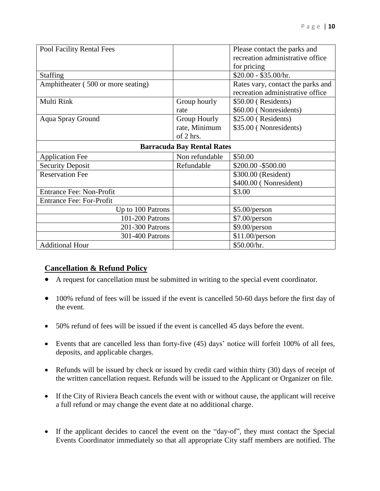| Pool Facility Rental Fees          |                                   | Please contact the parks and      |
|------------------------------------|-----------------------------------|-----------------------------------|
|                                    |                                   | recreation administrative office  |
|                                    |                                   | for pricing                       |
| <b>Staffing</b>                    |                                   | \$20.00 - \$35.00/hr.             |
| Amphitheater (500 or more seating) |                                   | Rates vary, contact the parks and |
|                                    |                                   | recreation administrative office  |
| Multi Rink                         | Group hourly                      | \$50.00 (Residents)               |
|                                    | rate                              | \$60.00 (Nonresidents)            |
| <b>Aqua Spray Ground</b>           | Group Hourly                      | \$25.00 (Residents)               |
|                                    | rate, Minimum                     | \$35.00 (Nonresidents)            |
|                                    | of 2 hrs.                         |                                   |
|                                    | <b>Barracuda Bay Rental Rates</b> |                                   |
| <b>Application Fee</b>             | Non refundable                    | \$50.00                           |
| <b>Security Deposit</b>            | Refundable                        | \$200.00 - \$500.00               |
| <b>Reservation Fee</b>             |                                   | \$300.00 (Resident)               |
|                                    |                                   | \$400.00 (Nonresident)            |
| <b>Entrance Fee: Non-Profit</b>    |                                   | \$3.00                            |
| <b>Entrance Fee: For-Profit</b>    |                                   |                                   |
| Up to 100 Patrons                  |                                   | \$5.00/person                     |
| 101-200 Patrons                    |                                   | \$7.00/person                     |
| 201-300 Patrons                    |                                   | \$9.00/person                     |
| 301-400 Patrons                    |                                   | \$11.00/person                    |
| <b>Additional Hour</b>             |                                   | \$50.00/hr.                       |

### <span id="page-9-0"></span>**Cancellation & Refund Policy**

- A request for cancellation must be submitted in writing to the special event coordinator.
- 100% refund of fees will be issued if the event is cancelled 50-60 days before the first day of the event.
- 50% refund of fees will be issued if the event is cancelled 45 days before the event.
- Events that are cancelled less than forty-five (45) days' notice will forfeit 100% of all fees, deposits, and applicable charges.
- Refunds will be issued by check or issued by credit card within thirty (30) days of receipt of the written cancellation request. Refunds will be issued to the Applicant or Organizer on file.
- If the City of Riviera Beach cancels the event with or without cause, the applicant will receive a full refund or may change the event date at no additional charge.
- If the applicant decides to cancel the event on the "day-of", they must contact the Special Events Coordinator immediately so that all appropriate City staff members are notified. The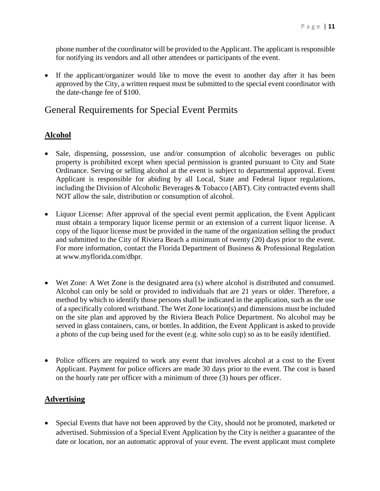phone number of the coordinator will be provided to the Applicant. The applicant is responsible for notifying its vendors and all other attendees or participants of the event.

 If the applicant/organizer would like to move the event to another day after it has been approved by the City, a written request must be submitted to the special event coordinator with the date-change fee of \$100.

## <span id="page-10-0"></span>General Requirements for Special Event Permits

#### <span id="page-10-1"></span>**Alcohol**

- Sale, dispensing, possession, use and/or consumption of alcoholic beverages on public property is prohibited except when special permission is granted pursuant to City and State Ordinance. Serving or selling alcohol at the event is subject to departmental approval. Event Applicant is responsible for abiding by all Local, State and Federal liquor regulations, including the Division of Alcoholic Beverages & Tobacco (ABT). City contracted events shall NOT allow the sale, distribution or consumption of alcohol.
- Liquor License: After approval of the special event permit application, the Event Applicant must obtain a temporary liquor license permit or an extension of a current liquor license. A copy of the liquor license must be provided in the name of the organization selling the product and submitted to the City of Riviera Beach a minimum of twenty (20) days prior to the event. For more information, contact the Florida Department of Business & Professional Regulation at www.myflorida.com/dbpr.
- Wet Zone: A Wet Zone is the designated area (s) where alcohol is distributed and consumed. Alcohol can only be sold or provided to individuals that are 21 years or older. Therefore, a method by which to identify those persons shall be indicated in the application, such as the use of a specifically colored wristband. The Wet Zone location(s) and dimensions must be included on the site plan and approved by the Riviera Beach Police Department. No alcohol may be served in glass containers, cans, or bottles. In addition, the Event Applicant is asked to provide a photo of the cup being used for the event (e.g. white solo cup) so as to be easily identified.
- Police officers are required to work any event that involves alcohol at a cost to the Event Applicant. Payment for police officers are made 30 days prior to the event. The cost is based on the hourly rate per officer with a minimum of three (3) hours per officer.

#### <span id="page-10-2"></span>**Advertising**

 Special Events that have not been approved by the City, should not be promoted, marketed or advertised. Submission of a Special Event Application by the City is neither a guarantee of the date or location, nor an automatic approval of your event. The event applicant must complete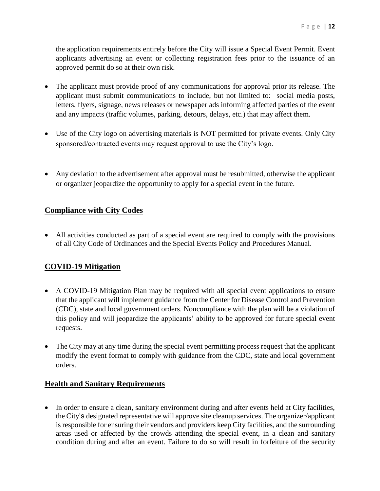the application requirements entirely before the City will issue a Special Event Permit. Event applicants advertising an event or collecting registration fees prior to the issuance of an approved permit do so at their own risk.

- The applicant must provide proof of any communications for approval prior its release. The applicant must submit communications to include, but not limited to: social media posts, letters, flyers, signage, news releases or newspaper ads informing affected parties of the event and any impacts (traffic volumes, parking, detours, delays, etc.) that may affect them.
- Use of the City logo on advertising materials is NOT permitted for private events. Only City sponsored/contracted events may request approval to use the City's logo.
- Any deviation to the advertisement after approval must be resubmitted, otherwise the applicant or organizer jeopardize the opportunity to apply for a special event in the future.

#### <span id="page-11-0"></span>**Compliance with City Codes**

 All activities conducted as part of a special event are required to comply with the provisions of all City Code of Ordinances and the Special Events Policy and Procedures Manual.

#### <span id="page-11-1"></span>**COVID-19 Mitigation**

- A COVID-19 Mitigation Plan may be required with all special event applications to ensure that the applicant will implement guidance from the Center for Disease Control and Prevention (CDC), state and local government orders. Noncompliance with the plan will be a violation of this policy and will jeopardize the applicants' ability to be approved for future special event requests.
- The City may at any time during the special event permitting process request that the applicant modify the event format to comply with guidance from the CDC, state and local government orders.

#### <span id="page-11-2"></span>**Health and Sanitary Requirements**

• In order to ensure a clean, sanitary environment during and after events held at City facilities, the City's designated representative will approve site cleanup services. The organizer/applicant is responsible for ensuring their vendors and providers keep City facilities, and the surrounding areas used or affected by the crowds attending the special event, in a clean and sanitary condition during and after an event. Failure to do so will result in forfeiture of the security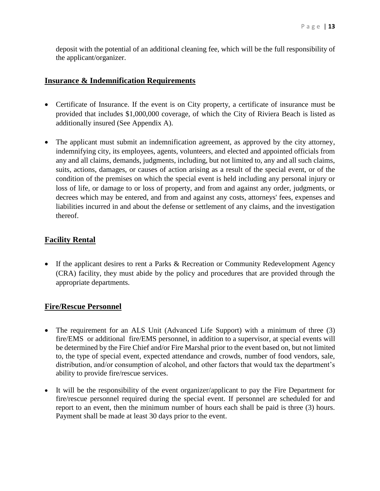deposit with the potential of an additional cleaning fee, which will be the full responsibility of the applicant/organizer.

#### <span id="page-12-0"></span>**Insurance & Indemnification Requirements**

- Certificate of Insurance. If the event is on City property, a certificate of insurance must be provided that includes \$1,000,000 coverage, of which the City of Riviera Beach is listed as additionally insured (See Appendix A).
- The applicant must submit an indemnification agreement, as approved by the city attorney, indemnifying city, its employees, agents, volunteers, and elected and appointed officials from any and all claims, demands, judgments, including, but not limited to, any and all such claims, suits, actions, damages, or causes of action arising as a result of the special event, or of the condition of the premises on which the special event is held including any personal injury or loss of life, or damage to or loss of property, and from and against any order, judgments, or decrees which may be entered, and from and against any costs, attorneys' fees, expenses and liabilities incurred in and about the defense or settlement of any claims, and the investigation thereof.

#### <span id="page-12-1"></span>**Facility Rental**

• If the applicant desires to rent a Parks & Recreation or Community Redevelopment Agency (CRA) facility, they must abide by the policy and procedures that are provided through the appropriate departments.

#### <span id="page-12-2"></span>**Fire/Rescue Personnel**

- The requirement for an ALS Unit (Advanced Life Support) with a minimum of three (3) fire/EMS or additional fire/EMS personnel, in addition to a supervisor, at special events will be determined by the Fire Chief and/or Fire Marshal prior to the event based on, but not limited to, the type of special event, expected attendance and crowds, number of food vendors, sale, distribution, and/or consumption of alcohol, and other factors that would tax the department's ability to provide fire/rescue services.
- It will be the responsibility of the event organizer/applicant to pay the Fire Department for fire/rescue personnel required during the special event. If personnel are scheduled for and report to an event, then the minimum number of hours each shall be paid is three (3) hours. Payment shall be made at least 30 days prior to the event.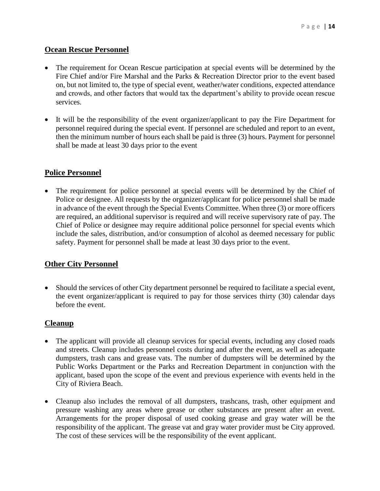#### <span id="page-13-0"></span>**Ocean Rescue Personnel**

- The requirement for Ocean Rescue participation at special events will be determined by the Fire Chief and/or Fire Marshal and the Parks & Recreation Director prior to the event based on, but not limited to, the type of special event, weather/water conditions, expected attendance and crowds, and other factors that would tax the department's ability to provide ocean rescue services.
- It will be the responsibility of the event organizer/applicant to pay the Fire Department for personnel required during the special event. If personnel are scheduled and report to an event, then the minimum number of hours each shall be paid is three (3) hours. Payment for personnel shall be made at least 30 days prior to the event

#### <span id="page-13-1"></span>**Police Personnel**

 The requirement for police personnel at special events will be determined by the Chief of Police or designee. All requests by the organizer/applicant for police personnel shall be made in advance of the event through the Special Events Committee. When three (3) or more officers are required, an additional supervisor is required and will receive supervisory rate of pay. The Chief of Police or designee may require additional police personnel for special events which include the sales, distribution, and/or consumption of alcohol as deemed necessary for public safety. Payment for personnel shall be made at least 30 days prior to the event.

#### <span id="page-13-2"></span>**Other City Personnel**

• Should the services of other City department personnel be required to facilitate a special event, the event organizer/applicant is required to pay for those services thirty (30) calendar days before the event.

#### <span id="page-13-3"></span>**Cleanup**

- The applicant will provide all cleanup services for special events, including any closed roads and streets. Cleanup includes personnel costs during and after the event, as well as adequate dumpsters, trash cans and grease vats. The number of dumpsters will be determined by the Public Works Department or the Parks and Recreation Department in conjunction with the applicant, based upon the scope of the event and previous experience with events held in the City of Riviera Beach.
- Cleanup also includes the removal of all dumpsters, trashcans, trash, other equipment and pressure washing any areas where grease or other substances are present after an event. Arrangements for the proper disposal of used cooking grease and gray water will be the responsibility of the applicant. The grease vat and gray water provider must be City approved. The cost of these services will be the responsibility of the event applicant.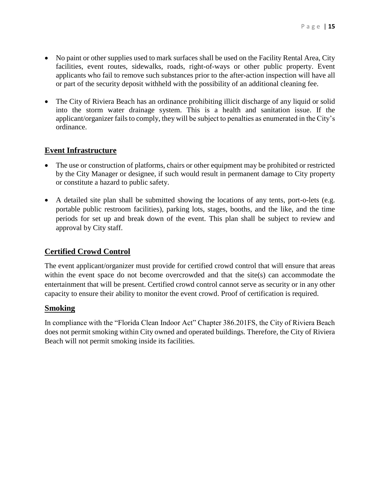- No paint or other supplies used to mark surfaces shall be used on the Facility Rental Area, City facilities, event routes, sidewalks, roads, right-of-ways or other public property. Event applicants who fail to remove such substances prior to the after-action inspection will have all or part of the security deposit withheld with the possibility of an additional cleaning fee.
- The City of Riviera Beach has an ordinance prohibiting illicit discharge of any liquid or solid into the storm water drainage system. This is a health and sanitation issue. If the applicant/organizer fails to comply, they will be subject to penalties as enumerated in the City's ordinance.

#### **Event Infrastructure**

- The use or construction of platforms, chairs or other equipment may be prohibited or restricted by the City Manager or designee, if such would result in permanent damage to City property or constitute a hazard to public safety.
- A detailed site plan shall be submitted showing the locations of any tents, port-o-lets (e.g. portable public restroom facilities), parking lots, stages, booths, and the like, and the time periods for set up and break down of the event. This plan shall be subject to review and approval by City staff.

#### **Certified Crowd Control**

The event applicant/organizer must provide for certified crowd control that will ensure that areas within the event space do not become overcrowded and that the site(s) can accommodate the entertainment that will be present. Certified crowd control cannot serve as security or in any other capacity to ensure their ability to monitor the event crowd. Proof of certification is required.

#### **Smoking**

In compliance with the "Florida Clean Indoor Act" Chapter 386.201FS, the City of Riviera Beach does not permit smoking within City owned and operated buildings. Therefore, the City of Riviera Beach will not permit smoking inside its facilities.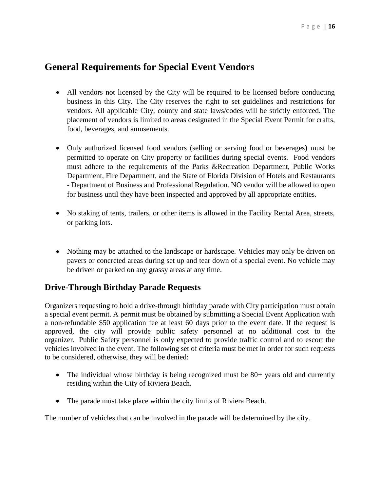## <span id="page-15-0"></span>**General Requirements for Special Event Vendors**

- All vendors not licensed by the City will be required to be licensed before conducting business in this City. The City reserves the right to set guidelines and restrictions for vendors. All applicable City, county and state laws/codes will be strictly enforced. The placement of vendors is limited to areas designated in the Special Event Permit for crafts, food, beverages, and amusements.
- Only authorized licensed food vendors (selling or serving food or beverages) must be permitted to operate on City property or facilities during special events. Food vendors must adhere to the requirements of the Parks &Recreation Department, Public Works Department, Fire Department, and the State of Florida Division of Hotels and Restaurants - Department of Business and Professional Regulation. NO vendor will be allowed to open for business until they have been inspected and approved by all appropriate entities.
- No staking of tents, trailers, or other items is allowed in the Facility Rental Area, streets, or parking lots.
- Nothing may be attached to the landscape or hardscape. Vehicles may only be driven on pavers or concreted areas during set up and tear down of a special event. No vehicle may be driven or parked on any grassy areas at any time.

### <span id="page-15-1"></span>**Drive-Through Birthday Parade Requests**

Organizers requesting to hold a drive-through birthday parade with City participation must obtain a special event permit. A permit must be obtained by submitting a Special Event Application with a non-refundable \$50 application fee at least 60 days prior to the event date. If the request is approved, the city will provide public safety personnel at no additional cost to the organizer. Public Safety personnel is only expected to provide traffic control and to escort the vehicles involved in the event. The following set of criteria must be met in order for such requests to be considered, otherwise, they will be denied:

- The individual whose birthday is being recognized must be 80+ years old and currently residing within the City of Riviera Beach.
- The parade must take place within the city limits of Riviera Beach.

The number of vehicles that can be involved in the parade will be determined by the city.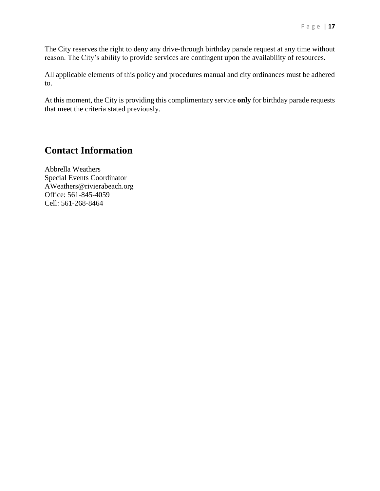The City reserves the right to deny any drive-through birthday parade request at any time without reason. The City's ability to provide services are contingent upon the availability of resources.

All applicable elements of this policy and procedures manual and city ordinances must be adhered to.

At this moment, the City is providing this complimentary service **only** for birthday parade requests that meet the criteria stated previously.

## <span id="page-16-0"></span>**Contact Information**

Abbrella Weathers Special Events Coordinator AWeathers@rivierabeach.org Office: 561-845-4059 Cell: 561-268-8464